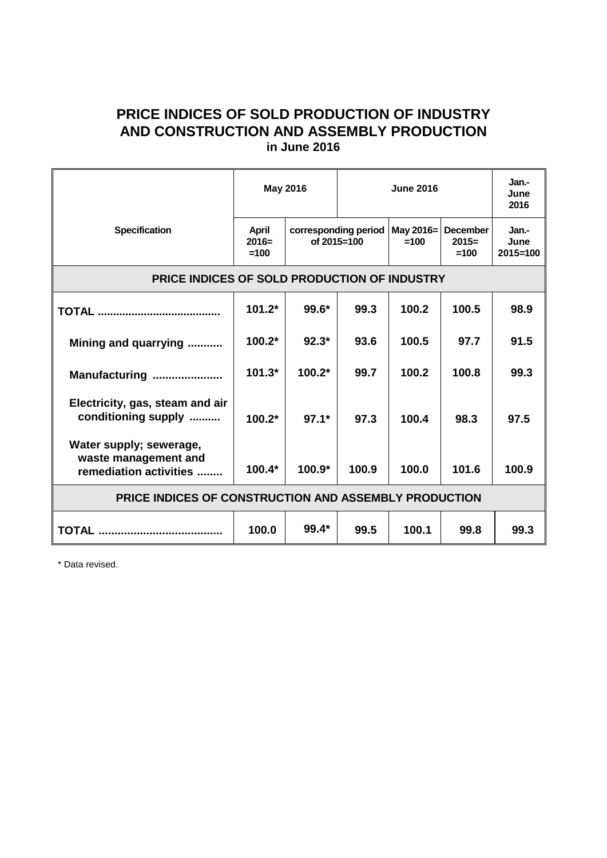## **PRICE INDICES OF SOLD PRODUCTION OF INDUSTRY AND CONSTRUCTION AND ASSEMBLY PRODUCTION in June 2016**

|                                                                           | <b>May 2016</b>            |                                     | <b>June 2016</b> |                     |                                      | Jan.-<br>June<br>2016         |
|---------------------------------------------------------------------------|----------------------------|-------------------------------------|------------------|---------------------|--------------------------------------|-------------------------------|
| <b>Specification</b>                                                      | April<br>$2016=$<br>$=100$ | corresponding period<br>of 2015=100 |                  | May 2016=<br>$=100$ | <b>December</b><br>$2015=$<br>$=100$ | Jan.-<br>June<br>$2015 = 100$ |
| <b>PRICE INDICES OF SOLD PRODUCTION OF INDUSTRY</b>                       |                            |                                     |                  |                     |                                      |                               |
|                                                                           | $101.2*$                   | 99.6*                               | 99.3             | 100.2               | 100.5                                | 98.9                          |
| Mining and quarrying                                                      | $100.2*$                   | $92.3*$                             | 93.6             | 100.5               | 97.7                                 | 91.5                          |
| Manufacturing                                                             | $101.3*$                   | $100.2*$                            | 99.7             | 100.2               | 100.8                                | 99.3                          |
| Electricity, gas, steam and air<br>conditioning supply                    | $100.2*$                   | $97.1*$                             | 97.3             | 100.4               | 98.3                                 | 97.5                          |
| Water supply; sewerage,<br>waste management and<br>remediation activities | $100.4*$                   | $100.9*$                            | 100.9            | 100.0               | 101.6                                | 100.9                         |
| <b>PRICE INDICES OF CONSTRUCTION AND ASSEMBLY PRODUCTION</b>              |                            |                                     |                  |                     |                                      |                               |
|                                                                           | 100.0                      | $99.4*$                             | 99.5             | 100.1               | 99.8                                 | 99.3                          |

\* Data revised.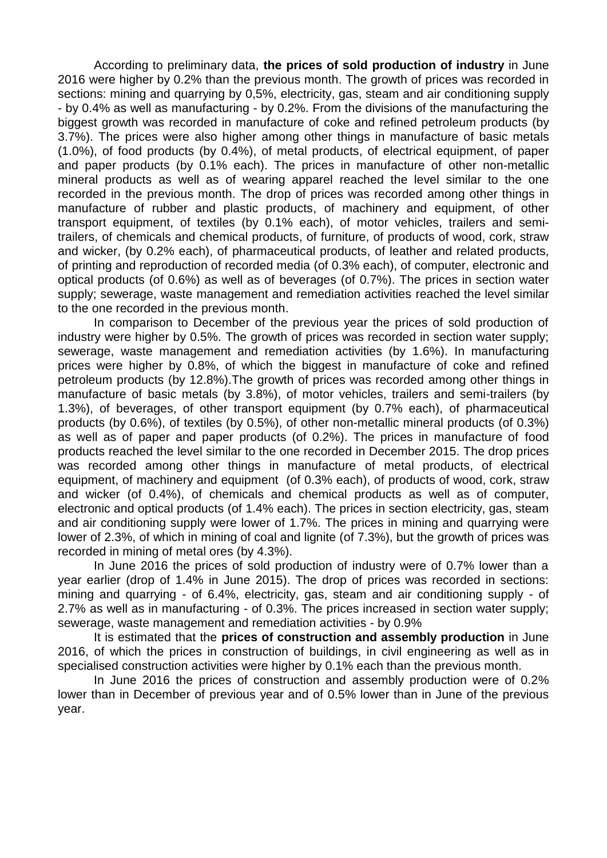According to preliminary data, **the prices of sold production of industry** in June 2016 were higher by 0.2% than the previous month. The growth of prices was recorded in sections: mining and quarrying by 0,5%, electricity, gas, steam and air conditioning supply - by 0.4% as well as manufacturing - by 0.2%. From the divisions of the manufacturing the biggest growth was recorded in manufacture of coke and refined petroleum products (by 3.7%). The prices were also higher among other things in manufacture of basic metals (1.0%), of food products (by 0.4%), of metal products, of electrical equipment, of paper and paper products (by 0.1% each). The prices in manufacture of other non-metallic mineral products as well as of wearing apparel reached the level similar to the one recorded in the previous month. The drop of prices was recorded among other things in manufacture of rubber and plastic products, of machinery and equipment, of other transport equipment, of textiles (by 0.1% each), of motor vehicles, trailers and semitrailers, of chemicals and chemical products, of furniture, of products of wood, cork, straw and wicker, (by 0.2% each), of pharmaceutical products, of leather and related products, of printing and reproduction of recorded media (of 0.3% each), of computer, electronic and optical products (of 0.6%) as well as of beverages (of 0.7%). The prices in section water supply; sewerage, waste management and remediation activities reached the level similar to the one recorded in the previous month.

In comparison to December of the previous year the prices of sold production of industry were higher by 0.5%. The growth of prices was recorded in section water supply; sewerage, waste management and remediation activities (by 1.6%). In manufacturing prices were higher by 0.8%, of which the biggest in manufacture of coke and refined petroleum products (by 12.8%).The growth of prices was recorded among other things in manufacture of basic metals (by 3.8%), of motor vehicles, trailers and semi-trailers (by 1.3%), of beverages, of other transport equipment (by 0.7% each), of pharmaceutical products (by 0.6%), of textiles (by 0.5%), of other non-metallic mineral products (of 0.3%) as well as of paper and paper products (of 0.2%). The prices in manufacture of food products reached the level similar to the one recorded in December 2015. The drop prices was recorded among other things in manufacture of metal products, of electrical equipment, of machinery and equipment (of 0.3% each), of products of wood, cork, straw and wicker (of 0.4%), of chemicals and chemical products as well as of computer, electronic and optical products (of 1.4% each). The prices in section electricity, gas, steam and air conditioning supply were lower of 1.7%. The prices in mining and quarrying were lower of 2.3%, of which in mining of coal and lignite (of 7.3%), but the growth of prices was recorded in mining of metal ores (by 4.3%).

In June 2016 the prices of sold production of industry were of 0.7% lower than a year earlier (drop of 1.4% in June 2015). The drop of prices was recorded in sections: mining and quarrying - of 6.4%, electricity, gas, steam and air conditioning supply - of 2.7% as well as in manufacturing - of 0.3%. The prices increased in section water supply; sewerage, waste management and remediation activities - by 0.9%

It is estimated that the **prices of construction and assembly production** in June 2016, of which the prices in construction of buildings, in civil engineering as well as in specialised construction activities were higher by 0.1% each than the previous month.

In June 2016 the prices of construction and assembly production were of 0.2% lower than in December of previous year and of 0.5% lower than in June of the previous year.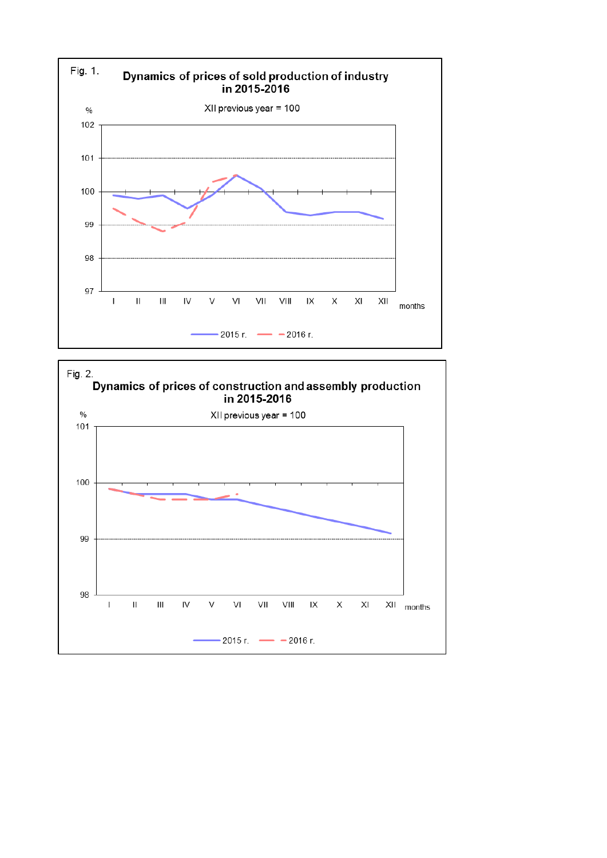